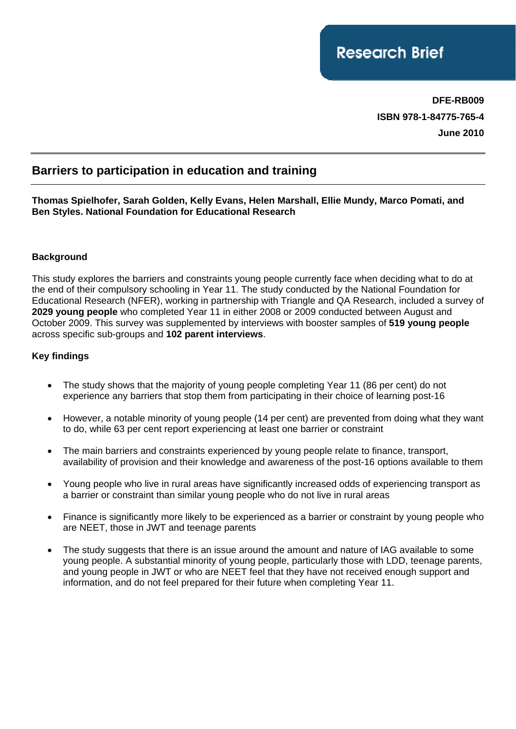**DFE-RB009 ISBN 978-1-84775-765-4 June 2010** 

# **Barriers to participation in education and training**

**Thomas Spielhofer, Sarah Golden, Kelly Evans, Helen Marshall, Ellie Mundy, Marco Pomati, and Ben Styles. National Foundation for Educational Research** 

#### **Background**

This study explores the barriers and constraints young people currently face when deciding what to do at the end of their compulsory schooling in Year 11. The study conducted by the National Foundation for Educational Research (NFER), working in partnership with Triangle and QA Research, included a survey of **2029 young people** who completed Year 11 in either 2008 or 2009 conducted between August and October 2009. This survey was supplemented by interviews with booster samples of **519 young people**  across specific sub-groups and **102 parent interviews**.

#### **Key findings**

- The study shows that the majority of young people completing Year 11 (86 per cent) do not experience any barriers that stop them from participating in their choice of learning post-16
- •However, a notable minority of young people (14 per cent) are prevented from doing what they want to do, while 63 per cent report experiencing at least one barrier or constraint
- •The main barriers and constraints experienced by young people relate to finance, transport, availability of provision and their knowledge and awareness of the post-16 options available to them
- •Young people who live in rural areas have significantly increased odds of experiencing transport as a barrier or constraint than similar young people who do not live in rural areas
- •Finance is significantly more likely to be experienced as a barrier or constraint by young people who are NEET, those in JWT and teenage parents
- The study suggests that there is an issue around the amount and nature of IAG available to some young people. A substantial minority of young people, particularly those with LDD, teenage parents, and young people in JWT or who are NEET feel that they have not received enough support and information, and do not feel prepared for their future when completing Year 11.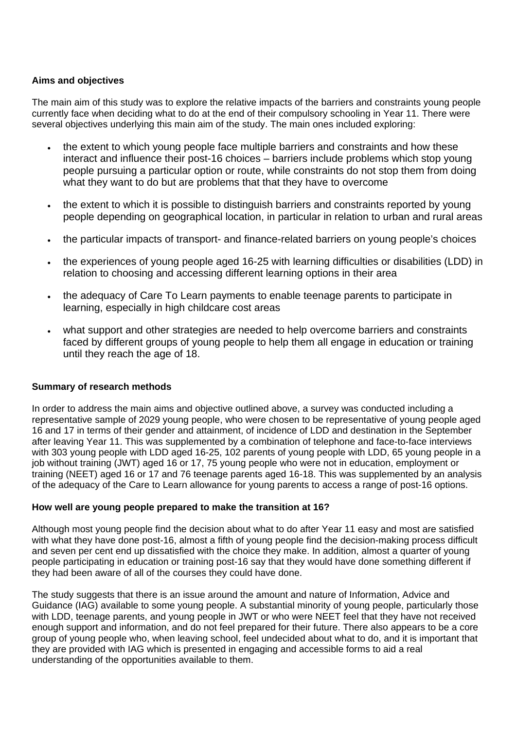#### **Aims and objectives**

The main aim of this study was to explore the relative impacts of the barriers and constraints young people currently face when deciding what to do at the end of their compulsory schooling in Year 11. There were several objectives underlying this main aim of the study. The main ones included exploring:

- the extent to which young people face multiple barriers and constraints and how these interact and influence their post-16 choices – barriers include problems which stop young people pursuing a particular option or route, while constraints do not stop them from doing what they want to do but are problems that that they have to overcome
- the extent to which it is possible to distinguish barriers and constraints reported by young people depending on geographical location, in particular in relation to urban and rural areas
- •the particular impacts of transport- and finance-related barriers on young people's choices
- •the experiences of young people aged 16-25 with learning difficulties or disabilities (LDD) in relation to choosing and accessing different learning options in their area
- the adequacy of Care To Learn payments to enable teenage parents to participate in learning, especially in high childcare cost areas
- •what support and other strategies are needed to help overcome barriers and constraints faced by different groups of young people to help them all engage in education or training until they reach the age of 18.

#### **Summary of research methods**

In order to address the main aims and objective outlined above, a survey was conducted including a representative sample of 2029 young people, who were chosen to be representative of young people aged 16 and 17 in terms of their gender and attainment, of incidence of LDD and destination in the September after leaving Year 11. This was supplemented by a combination of telephone and face-to-face interviews with 303 young people with LDD aged 16-25, 102 parents of young people with LDD, 65 young people in a job without training (JWT) aged 16 or 17, 75 young people who were not in education, employment or training (NEET) aged 16 or 17 and 76 teenage parents aged 16-18. This was supplemented by an analysis of the adequacy of the Care to Learn allowance for young parents to access a range of post-16 options.

#### **How well are young people prepared to make the transition at 16?**

Although most young people find the decision about what to do after Year 11 easy and most are satisfied with what they have done post-16, almost a fifth of young people find the decision-making process difficult and seven per cent end up dissatisfied with the choice they make. In addition, almost a quarter of young people participating in education or training post-16 say that they would have done something different if they had been aware of all of the courses they could have done.

The study suggests that there is an issue around the amount and nature of Information, Advice and Guidance (IAG) available to some young people. A substantial minority of young people, particularly those with LDD, teenage parents, and young people in JWT or who were NEET feel that they have not received enough support and information, and do not feel prepared for their future. There also appears to be a core group of young people who, when leaving school, feel undecided about what to do, and it is important that they are provided with IAG which is presented in engaging and accessible forms to aid a real understanding of the opportunities available to them.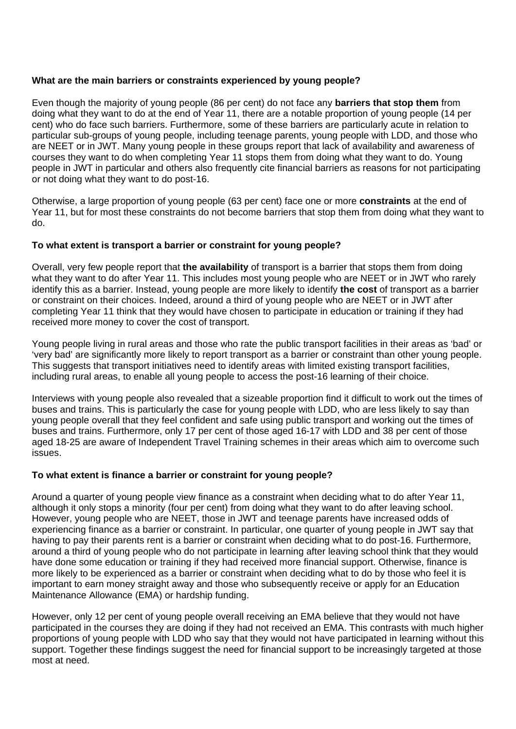#### **What are the main barriers or constraints experienced by young people?**

Even though the majority of young people (86 per cent) do not face any **barriers that stop them** from doing what they want to do at the end of Year 11, there are a notable proportion of young people (14 per cent) who do face such barriers. Furthermore, some of these barriers are particularly acute in relation to particular sub-groups of young people, including teenage parents, young people with LDD, and those who are NEET or in JWT. Many young people in these groups report that lack of availability and awareness of courses they want to do when completing Year 11 stops them from doing what they want to do. Young people in JWT in particular and others also frequently cite financial barriers as reasons for not participating or not doing what they want to do post-16.

Otherwise, a large proportion of young people (63 per cent) face one or more **constraints** at the end of Year 11, but for most these constraints do not become barriers that stop them from doing what they want to do.

## **To what extent is transport a barrier or constraint for young people?**

Overall, very few people report that **the availability** of transport is a barrier that stops them from doing what they want to do after Year 11. This includes most young people who are NEET or in JWT who rarely identify this as a barrier. Instead, young people are more likely to identify **the cost** of transport as a barrier or constraint on their choices. Indeed, around a third of young people who are NEET or in JWT after completing Year 11 think that they would have chosen to participate in education or training if they had received more money to cover the cost of transport.

Young people living in rural areas and those who rate the public transport facilities in their areas as 'bad' or 'very bad' are significantly more likely to report transport as a barrier or constraint than other young people. This suggests that transport initiatives need to identify areas with limited existing transport facilities, including rural areas, to enable all young people to access the post-16 learning of their choice.

Interviews with young people also revealed that a sizeable proportion find it difficult to work out the times of buses and trains. This is particularly the case for young people with LDD, who are less likely to say than young people overall that they feel confident and safe using public transport and working out the times of buses and trains. Furthermore, only 17 per cent of those aged 16-17 with LDD and 38 per cent of those aged 18-25 are aware of Independent Travel Training schemes in their areas which aim to overcome such issues.

#### **To what extent is finance a barrier or constraint for young people?**

Around a quarter of young people view finance as a constraint when deciding what to do after Year 11, although it only stops a minority (four per cent) from doing what they want to do after leaving school. However, young people who are NEET, those in JWT and teenage parents have increased odds of experiencing finance as a barrier or constraint. In particular, one quarter of young people in JWT say that having to pay their parents rent is a barrier or constraint when deciding what to do post-16. Furthermore, around a third of young people who do not participate in learning after leaving school think that they would have done some education or training if they had received more financial support. Otherwise, finance is more likely to be experienced as a barrier or constraint when deciding what to do by those who feel it is important to earn money straight away and those who subsequently receive or apply for an Education Maintenance Allowance (EMA) or hardship funding.

However, only 12 per cent of young people overall receiving an EMA believe that they would not have participated in the courses they are doing if they had not received an EMA. This contrasts with much higher proportions of young people with LDD who say that they would not have participated in learning without this support. Together these findings suggest the need for financial support to be increasingly targeted at those most at need.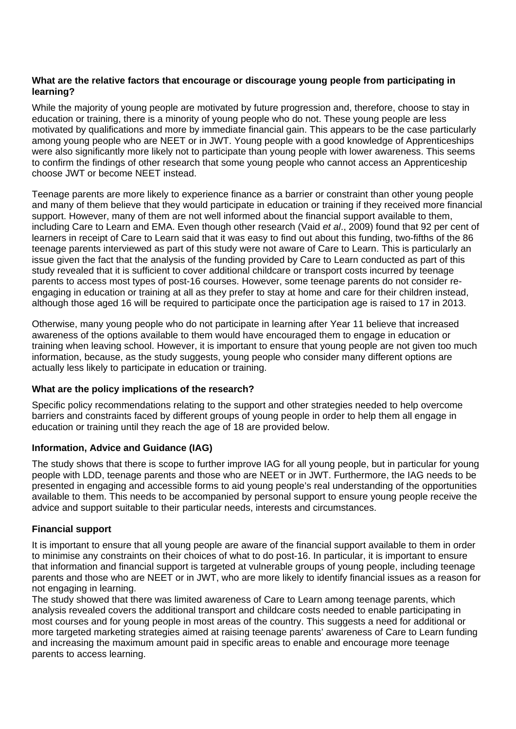## **What are the relative factors that encourage or discourage young people from participating in learning?**

While the majority of young people are motivated by future progression and, therefore, choose to stay in education or training, there is a minority of young people who do not. These young people are less motivated by qualifications and more by immediate financial gain. This appears to be the case particularly among young people who are NEET or in JWT. Young people with a good knowledge of Apprenticeships were also significantly more likely not to participate than young people with lower awareness. This seems to confirm the findings of other research that some young people who cannot access an Apprenticeship choose JWT or become NEET instead.

Teenage parents are more likely to experience finance as a barrier or constraint than other young people and many of them believe that they would participate in education or training if they received more financial support. However, many of them are not well informed about the financial support available to them, including Care to Learn and EMA. Even though other research (Vaid *et al*., 2009) found that 92 per cent of learners in receipt of Care to Learn said that it was easy to find out about this funding, two-fifths of the 86 teenage parents interviewed as part of this study were not aware of Care to Learn. This is particularly an issue given the fact that the analysis of the funding provided by Care to Learn conducted as part of this study revealed that it is sufficient to cover additional childcare or transport costs incurred by teenage parents to access most types of post-16 courses. However, some teenage parents do not consider reengaging in education or training at all as they prefer to stay at home and care for their children instead, although those aged 16 will be required to participate once the participation age is raised to 17 in 2013.

Otherwise, many young people who do not participate in learning after Year 11 believe that increased awareness of the options available to them would have encouraged them to engage in education or training when leaving school. However, it is important to ensure that young people are not given too much information, because, as the study suggests, young people who consider many different options are actually less likely to participate in education or training.

#### **What are the policy implications of the research?**

Specific policy recommendations relating to the support and other strategies needed to help overcome barriers and constraints faced by different groups of young people in order to help them all engage in education or training until they reach the age of 18 are provided below.

#### **Information, Advice and Guidance (IAG)**

The study shows that there is scope to further improve IAG for all young people, but in particular for young people with LDD, teenage parents and those who are NEET or in JWT. Furthermore, the IAG needs to be presented in engaging and accessible forms to aid young people's real understanding of the opportunities available to them. This needs to be accompanied by personal support to ensure young people receive the advice and support suitable to their particular needs, interests and circumstances.

#### **Financial support**

It is important to ensure that all young people are aware of the financial support available to them in order to minimise any constraints on their choices of what to do post-16. In particular, it is important to ensure that information and financial support is targeted at vulnerable groups of young people, including teenage parents and those who are NEET or in JWT, who are more likely to identify financial issues as a reason for not engaging in learning.

The study showed that there was limited awareness of Care to Learn among teenage parents, which analysis revealed covers the additional transport and childcare costs needed to enable participating in most courses and for young people in most areas of the country. This suggests a need for additional or more targeted marketing strategies aimed at raising teenage parents' awareness of Care to Learn funding and increasing the maximum amount paid in specific areas to enable and encourage more teenage parents to access learning.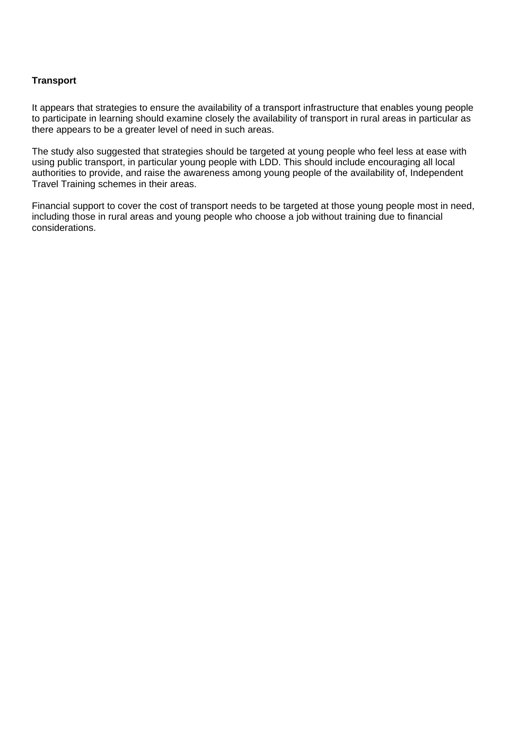## **Transport**

It appears that strategies to ensure the availability of a transport infrastructure that enables young people to participate in learning should examine closely the availability of transport in rural areas in particular as there appears to be a greater level of need in such areas.

The study also suggested that strategies should be targeted at young people who feel less at ease with using public transport, in particular young people with LDD. This should include encouraging all local authorities to provide, and raise the awareness among young people of the availability of, Independent Travel Training schemes in their areas.

Financial support to cover the cost of transport needs to be targeted at those young people most in need, including those in rural areas and young people who choose a job without training due to financial considerations.